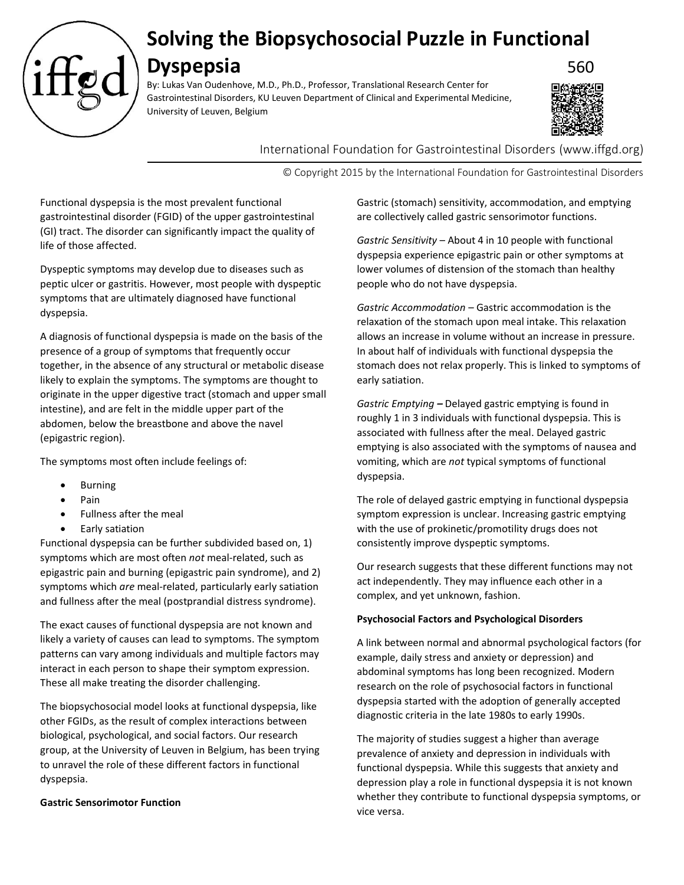

# **Solving the Biopsychosocial Puzzle in Functional**

## **Dyspepsia** 560

By: Lukas Van Oudenhove, M.D., Ph.D., Professor, Translational Research Center for Gastrointestinal Disorders, KU Leuven Department of Clinical and Experimental Medicine, University of Leuven, Belgium



International Foundation for Gastrointestinal Disorders (www.iffgd.org)

© Copyright 2015 by the International Foundation for Gastrointestinal Disorders

Functional dyspepsia is the most prevalent functional gastrointestinal disorder (FGID) of the upper gastrointestinal (GI) tract. The disorder can significantly impact the quality of life of those affected.

Dyspeptic symptoms may develop due to diseases such as peptic ulcer or gastritis. However, most people with dyspeptic symptoms that are ultimately diagnosed have functional dyspepsia.

A diagnosis of functional dyspepsia is made on the basis of the presence of a group of symptoms that frequently occur together, in the absence of any structural or metabolic disease likely to explain the symptoms. The symptoms are thought to originate in the upper digestive tract (stomach and upper small intestine), and are felt in the middle upper part of the abdomen, below the breastbone and above the navel (epigastric region).

The symptoms most often include feelings of:

- **Burning**
- Pain
- Fullness after the meal
- Early satiation

Functional dyspepsia can be further subdivided based on, 1) symptoms which are most often *not* meal-related, such as epigastric pain and burning (epigastric pain syndrome), and 2) symptoms which *are* meal-related, particularly early satiation and fullness after the meal (postprandial distress syndrome).

The exact causes of functional dyspepsia are not known and likely a variety of causes can lead to symptoms. The symptom patterns can vary among individuals and multiple factors may interact in each person to shape their symptom expression. These all make treating the disorder challenging.

The biopsychosocial model looks at functional dyspepsia, like other FGIDs, as the result of complex interactions between biological, psychological, and social factors. Our research group, at the University of Leuven in Belgium, has been trying to unravel the role of these different factors in functional dyspepsia.

### **Gastric Sensorimotor Function**

Gastric (stomach) sensitivity, accommodation, and emptying are collectively called gastric sensorimotor functions.

*Gastric Sensitivity* – About 4 in 10 people with functional dyspepsia experience epigastric pain or other symptoms at lower volumes of distension of the stomach than healthy people who do not have dyspepsia.

*Gastric Accommodation* – Gastric accommodation is the relaxation of the stomach upon meal intake. This relaxation allows an increase in volume without an increase in pressure. In about half of individuals with functional dyspepsia the stomach does not relax properly. This is linked to symptoms of early satiation.

*Gastric Emptying –* Delayed gastric emptying is found in roughly 1 in 3 individuals with functional dyspepsia. This is associated with fullness after the meal. Delayed gastric emptying is also associated with the symptoms of nausea and vomiting, which are *not* typical symptoms of functional dyspepsia.

The role of delayed gastric emptying in functional dyspepsia symptom expression is unclear. Increasing gastric emptying with the use of prokinetic/promotility drugs does not consistently improve dyspeptic symptoms.

Our research suggests that these different functions may not act independently. They may influence each other in a complex, and yet unknown, fashion.

#### **Psychosocial Factors and Psychological Disorders**

A link between normal and abnormal psychological factors (for example, daily stress and anxiety or depression) and abdominal symptoms has long been recognized. Modern research on the role of psychosocial factors in functional dyspepsia started with the adoption of generally accepted diagnostic criteria in the late 1980s to early 1990s.

The majority of studies suggest a higher than average prevalence of anxiety and depression in individuals with functional dyspepsia. While this suggests that anxiety and depression play a role in functional dyspepsia it is not known whether they contribute to functional dyspepsia symptoms, or vice versa.